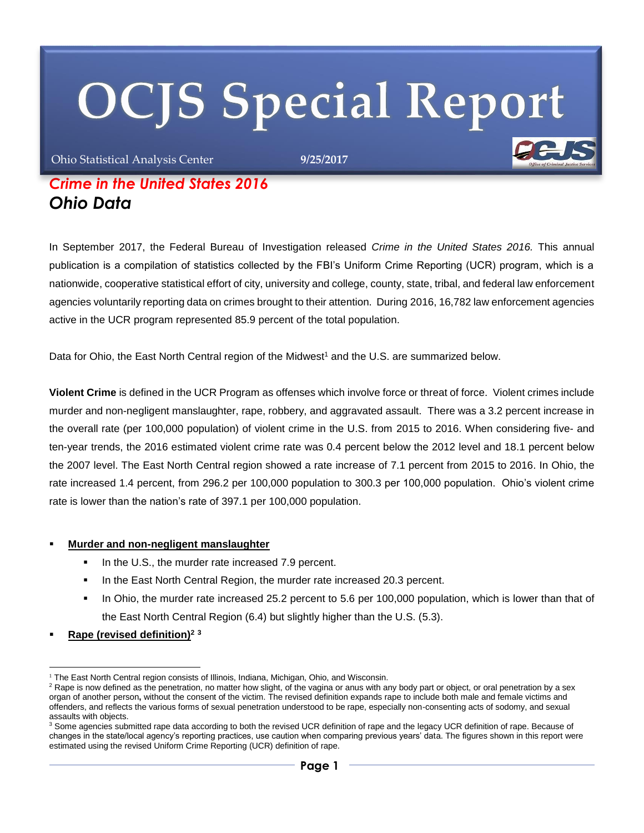# **OCJS Special Report**

Ohio Statistical Analysis Center **9/25/2017**

# *Crime in the United States 2016 Ohio Data*

In September 2017, the Federal Bureau of Investigation released *Crime in the United States 2016.* This annual publication is a compilation of statistics collected by the FBI's Uniform Crime Reporting (UCR) program, which is a nationwide, cooperative statistical effort of city, university and college, county, state, tribal, and federal law enforcement agencies voluntarily reporting data on crimes brought to their attention. During 2016, 16,782 law enforcement agencies active in the UCR program represented 85.9 percent of the total population.

Data for Ohio, the East North Central region of the Midwest<sup>1</sup> and the U.S. are summarized below.

**Violent Crime** is defined in the UCR Program as offenses which involve force or threat of force. Violent crimes include murder and non-negligent manslaughter, rape, robbery, and aggravated assault. There was a 3.2 percent increase in the overall rate (per 100,000 population) of violent crime in the U.S. from 2015 to 2016. When considering five- and ten-year trends, the 2016 estimated violent crime rate was 0.4 percent below the 2012 level and 18.1 percent below the 2007 level. The East North Central region showed a rate increase of 7.1 percent from 2015 to 2016. In Ohio, the rate increased 1.4 percent, from 296.2 per 100,000 population to 300.3 per 100,000 population. Ohio's violent crime rate is lower than the nation's rate of 397.1 per 100,000 population.

#### **Murder and non-negligent manslaughter**

- In the U.S., the murder rate increased 7.9 percent.
- In the East North Central Region, the murder rate increased 20.3 percent.
- In Ohio, the murder rate increased 25.2 percent to 5.6 per 100,000 population, which is lower than that of the East North Central Region (6.4) but slightly higher than the U.S. (5.3).
- **Rape (revised definition)<sup>2</sup> <sup>3</sup>**

 <sup>1</sup> The East North Central region consists of Illinois, Indiana, Michigan, Ohio, and Wisconsin.

<sup>&</sup>lt;sup>2</sup> Rape is now defined as the penetration, no matter how slight, of the vagina or anus with any body part or object, or oral penetration by a sex organ of another person**,** without the consent of the victim. The revised definition expands rape to include both male and female victims and offenders, and reflects the various forms of sexual penetration understood to be rape, especially non-consenting acts of sodomy, and sexual assaults with objects.

<sup>&</sup>lt;sup>3</sup> Some agencies submitted rape data according to both the revised UCR definition of rape and the legacy UCR definition of rape. Because of changes in the state/local agency's reporting practices, use caution when comparing previous years' data. The figures shown in this report were estimated using the revised Uniform Crime Reporting (UCR) definition of rape.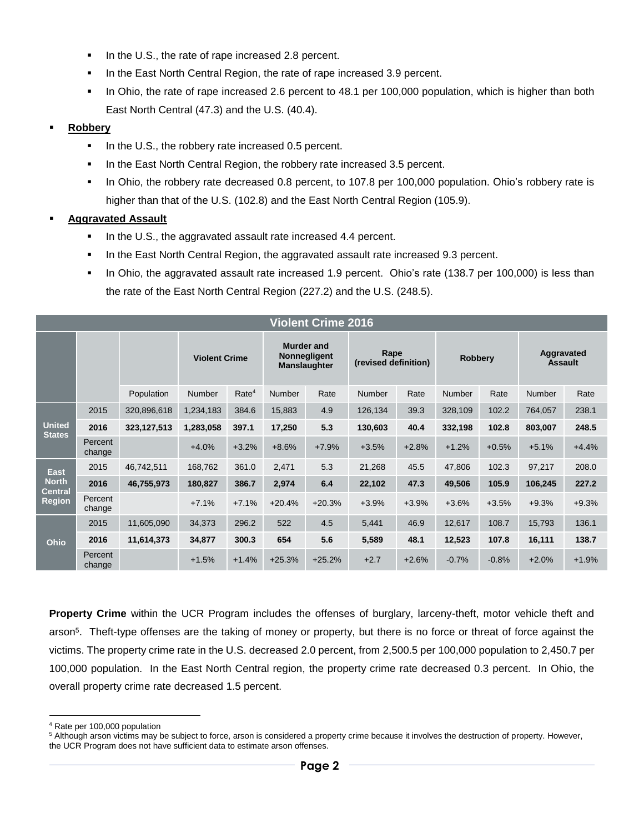- In the U.S., the rate of rape increased 2.8 percent.
- In the East North Central Region, the rate of rape increased 3.9 percent.
- In Ohio, the rate of rape increased 2.6 percent to 48.1 per 100,000 population, which is higher than both East North Central (47.3) and the U.S. (40.4).

#### **Robbery**

- In the U.S., the robbery rate increased 0.5 percent.
- In the East North Central Region, the robbery rate increased 3.5 percent.
- In Ohio, the robbery rate decreased 0.8 percent, to 107.8 per 100,000 population. Ohio's robbery rate is higher than that of the U.S. (102.8) and the East North Central Region (105.9).

#### **Aggravated Assault**

- In the U.S., the aggravated assault rate increased 4.4 percent.
- In the East North Central Region, the aggravated assault rate increased 9.3 percent.
- In Ohio, the aggravated assault rate increased 1.9 percent. Ohio's rate (138.7 per 100,000) is less than the rate of the East North Central Region (227.2) and the U.S. (248.5).

| <b>Violent Crime 2016</b>                                      |                   |             |                      |                   |                                                          |          |                              |         |                |         |                              |         |
|----------------------------------------------------------------|-------------------|-------------|----------------------|-------------------|----------------------------------------------------------|----------|------------------------------|---------|----------------|---------|------------------------------|---------|
|                                                                |                   |             | <b>Violent Crime</b> |                   | Murder and<br><b>Nonnegligent</b><br><b>Manslaughter</b> |          | Rape<br>(revised definition) |         | <b>Robbery</b> |         | Aggravated<br><b>Assault</b> |         |
|                                                                |                   | Population  | <b>Number</b>        | Rate <sup>4</sup> | <b>Number</b>                                            | Rate     | <b>Number</b>                | Rate    | <b>Number</b>  | Rate    | <b>Number</b>                | Rate    |
| <b>United</b><br><b>States</b>                                 | 2015              | 320,896,618 | 1,234,183            | 384.6             | 15,883                                                   | 4.9      | 126,134                      | 39.3    | 328,109        | 102.2   | 764,057                      | 238.1   |
|                                                                | 2016              | 323,127,513 | 1,283,058            | 397.1             | 17,250                                                   | 5.3      | 130,603                      | 40.4    | 332,198        | 102.8   | 803,007                      | 248.5   |
|                                                                | Percent<br>change |             | $+4.0%$              | $+3.2%$           | $+8.6%$                                                  | $+7.9%$  | $+3.5%$                      | $+2.8%$ | $+1.2%$        | $+0.5%$ | $+5.1%$                      | $+4.4%$ |
| <b>East</b><br><b>North</b><br><b>Central</b><br><b>Region</b> | 2015              | 46,742,511  | 168,762              | 361.0             | 2,471                                                    | 5.3      | 21,268                       | 45.5    | 47,806         | 102.3   | 97,217                       | 208.0   |
|                                                                | 2016              | 46,755,973  | 180,827              | 386.7             | 2,974                                                    | 6.4      | 22,102                       | 47.3    | 49,506         | 105.9   | 106,245                      | 227.2   |
|                                                                | Percent<br>change |             | $+7.1%$              | $+7.1%$           | $+20.4%$                                                 | $+20.3%$ | $+3.9%$                      | $+3.9%$ | $+3.6%$        | $+3.5%$ | $+9.3%$                      | $+9.3%$ |
| Ohio                                                           | 2015              | 11,605,090  | 34,373               | 296.2             | 522                                                      | 4.5      | 5,441                        | 46.9    | 12,617         | 108.7   | 15,793                       | 136.1   |
|                                                                | 2016              | 11,614,373  | 34,877               | 300.3             | 654                                                      | 5.6      | 5,589                        | 48.1    | 12,523         | 107.8   | 16,111                       | 138.7   |
|                                                                | Percent<br>change |             | $+1.5%$              | $+1.4%$           | $+25.3%$                                                 | $+25.2%$ | $+2.7$                       | $+2.6%$ | $-0.7%$        | $-0.8%$ | $+2.0%$                      | $+1.9%$ |

**Property Crime** within the UCR Program includes the offenses of burglary, larceny-theft, motor vehicle theft and arson<sup>5</sup> . Theft-type offenses are the taking of money or property, but there is no force or threat of force against the victims. The property crime rate in the U.S. decreased 2.0 percent, from 2,500.5 per 100,000 population to 2,450.7 per 100,000 population. In the East North Central region, the property crime rate decreased 0.3 percent. In Ohio, the overall property crime rate decreased 1.5 percent.

-

<sup>4</sup> Rate per 100,000 population

<sup>&</sup>lt;sup>5</sup> Although arson victims may be subject to force, arson is considered a property crime because it involves the destruction of property. However, the UCR Program does not have sufficient data to estimate arson offenses.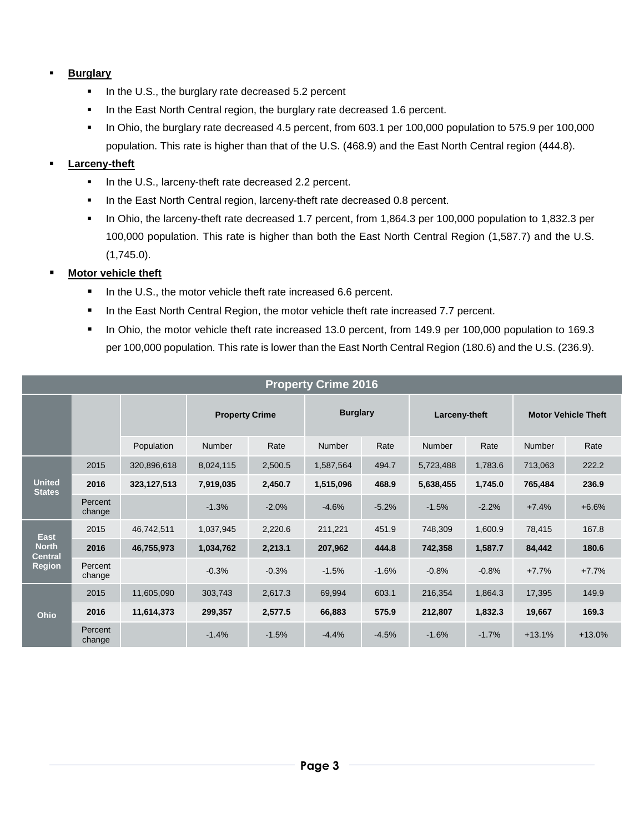## **Burglary**

- In the U.S., the burglary rate decreased 5.2 percent
- In the East North Central region, the burglary rate decreased 1.6 percent.
- In Ohio, the burglary rate decreased 4.5 percent, from 603.1 per 100,000 population to 575.9 per 100,000 population. This rate is higher than that of the U.S. (468.9) and the East North Central region (444.8).

## **Larceny-theft**

- In the U.S., larceny-theft rate decreased 2.2 percent.
- In the East North Central region, larceny-theft rate decreased 0.8 percent.
- In Ohio, the larceny-theft rate decreased 1.7 percent, from 1,864.3 per 100,000 population to 1,832.3 per 100,000 population. This rate is higher than both the East North Central Region (1,587.7) and the U.S. (1,745.0).

### **Motor vehicle theft**

- In the U.S., the motor vehicle theft rate increased 6.6 percent.
- In the East North Central Region, the motor vehicle theft rate increased 7.7 percent.
- In Ohio, the motor vehicle theft rate increased 13.0 percent, from 149.9 per 100,000 population to 169.3 per 100,000 population. This rate is lower than the East North Central Region (180.6) and the U.S. (236.9).

| <b>Property Crime 2016</b>                                     |                   |               |                       |         |                 |         |               |         |                            |          |
|----------------------------------------------------------------|-------------------|---------------|-----------------------|---------|-----------------|---------|---------------|---------|----------------------------|----------|
|                                                                |                   |               | <b>Property Crime</b> |         | <b>Burglary</b> |         | Larceny-theft |         | <b>Motor Vehicle Theft</b> |          |
|                                                                |                   | Population    | Number                | Rate    | Number          | Rate    | <b>Number</b> | Rate    | <b>Number</b>              | Rate     |
| <b>United</b><br><b>States</b>                                 | 2015              | 320,896,618   | 8,024,115             | 2,500.5 | 1,587,564       | 494.7   | 5,723,488     | 1,783.6 | 713,063                    | 222.2    |
|                                                                | 2016              | 323, 127, 513 | 7,919,035             | 2,450.7 | 1,515,096       | 468.9   | 5,638,455     | 1,745.0 | 765,484                    | 236.9    |
|                                                                | Percent<br>change |               | $-1.3%$               | $-2.0%$ | $-4.6%$         | $-5.2%$ | $-1.5%$       | $-2.2%$ | $+7.4%$                    | $+6.6%$  |
| <b>East</b><br><b>North</b><br><b>Central</b><br><b>Region</b> | 2015              | 46,742,511    | 1,037,945             | 2,220.6 | 211,221         | 451.9   | 748,309       | 1,600.9 | 78,415                     | 167.8    |
|                                                                | 2016              | 46,755,973    | 1,034,762             | 2,213.1 | 207,962         | 444.8   | 742,358       | 1,587.7 | 84,442                     | 180.6    |
|                                                                | Percent<br>change |               | $-0.3%$               | $-0.3%$ | $-1.5%$         | $-1.6%$ | $-0.8%$       | $-0.8%$ | $+7.7%$                    | $+7.7%$  |
| <b>Ohio</b>                                                    | 2015              | 11,605,090    | 303,743               | 2,617.3 | 69,994          | 603.1   | 216,354       | 1,864.3 | 17,395                     | 149.9    |
|                                                                | 2016              | 11,614,373    | 299,357               | 2,577.5 | 66,883          | 575.9   | 212,807       | 1,832.3 | 19,667                     | 169.3    |
|                                                                | Percent<br>change |               | $-1.4%$               | $-1.5%$ | $-4.4%$         | $-4.5%$ | $-1.6%$       | $-1.7%$ | $+13.1%$                   | $+13.0%$ |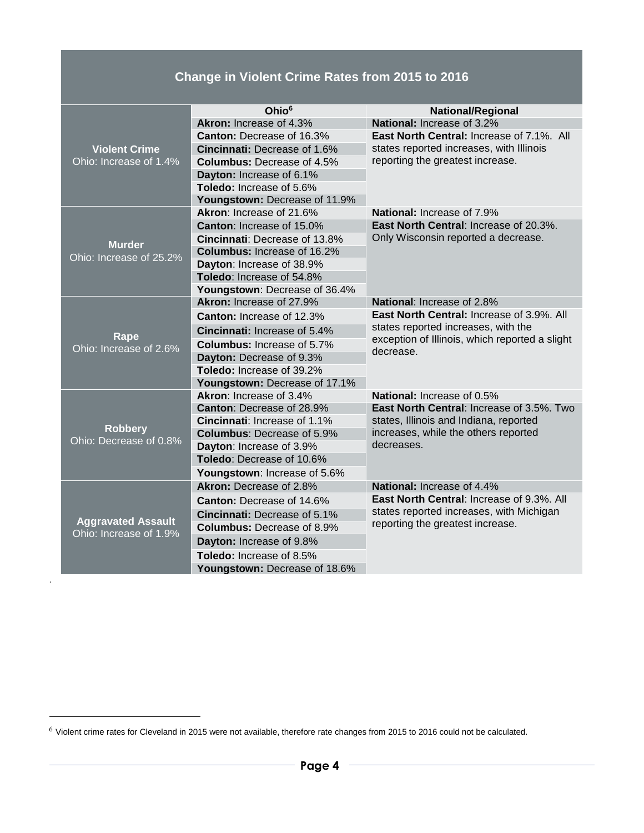# **Change in Violent Crime Rates from 2015 to 2016**

|                                                     | Ohio <sup>6</sup>                    | <b>National/Regional</b>                                                                                                                               |  |  |  |  |
|-----------------------------------------------------|--------------------------------------|--------------------------------------------------------------------------------------------------------------------------------------------------------|--|--|--|--|
|                                                     | Akron: Increase of 4.3%              | National: Increase of 3.2%                                                                                                                             |  |  |  |  |
|                                                     | <b>Canton: Decrease of 16.3%</b>     | <b>East North Central: Increase of 7.1%. All</b>                                                                                                       |  |  |  |  |
| <b>Violent Crime</b>                                | Cincinnati: Decrease of 1.6%         | states reported increases, with Illinois<br>reporting the greatest increase.                                                                           |  |  |  |  |
| Ohio: Increase of 1.4%                              | <b>Columbus: Decrease of 4.5%</b>    |                                                                                                                                                        |  |  |  |  |
|                                                     | Dayton: Increase of 6.1%             |                                                                                                                                                        |  |  |  |  |
|                                                     | <b>Toledo: Increase of 5.6%</b>      |                                                                                                                                                        |  |  |  |  |
|                                                     | Youngstown: Decrease of 11.9%        |                                                                                                                                                        |  |  |  |  |
|                                                     | Akron: Increase of 21.6%             | <b>National: Increase of 7.9%</b>                                                                                                                      |  |  |  |  |
|                                                     | <b>Canton: Increase of 15.0%</b>     | <b>East North Central: Increase of 20.3%.</b>                                                                                                          |  |  |  |  |
| <b>Murder</b>                                       | <b>Cincinnati: Decrease of 13.8%</b> | Only Wisconsin reported a decrease.                                                                                                                    |  |  |  |  |
| Ohio: Increase of 25.2%                             | <b>Columbus: Increase of 16.2%</b>   |                                                                                                                                                        |  |  |  |  |
|                                                     | Dayton: Increase of 38.9%            |                                                                                                                                                        |  |  |  |  |
|                                                     | Toledo: Increase of 54.8%            |                                                                                                                                                        |  |  |  |  |
|                                                     | Youngstown: Decrease of 36.4%        |                                                                                                                                                        |  |  |  |  |
|                                                     | Akron: Increase of 27.9%             | National: Increase of 2.8%                                                                                                                             |  |  |  |  |
|                                                     | <b>Canton: Increase of 12.3%</b>     | <b>East North Central: Increase of 3.9%. All</b><br>states reported increases, with the<br>exception of Illinois, which reported a slight<br>decrease. |  |  |  |  |
| Rape                                                | Cincinnati: Increase of 5.4%         |                                                                                                                                                        |  |  |  |  |
| Ohio: Increase of 2.6%                              | <b>Columbus:</b> Increase of 5.7%    |                                                                                                                                                        |  |  |  |  |
|                                                     | Dayton: Decrease of 9.3%             |                                                                                                                                                        |  |  |  |  |
|                                                     | Toledo: Increase of 39.2%            |                                                                                                                                                        |  |  |  |  |
|                                                     | Youngstown: Decrease of 17.1%        |                                                                                                                                                        |  |  |  |  |
|                                                     | Akron: Increase of 3.4%              | <b>National: Increase of 0.5%</b>                                                                                                                      |  |  |  |  |
|                                                     | <b>Canton: Decrease of 28.9%</b>     | East North Central: Increase of 3.5%. Two                                                                                                              |  |  |  |  |
| <b>Robbery</b>                                      | <b>Cincinnati:</b> Increase of 1.1%  | states, Illinois and Indiana, reported<br>increases, while the others reported                                                                         |  |  |  |  |
| Ohio: Decrease of 0.8%                              | <b>Columbus: Decrease of 5.9%</b>    |                                                                                                                                                        |  |  |  |  |
|                                                     | Dayton: Increase of 3.9%             | decreases.                                                                                                                                             |  |  |  |  |
|                                                     | Toledo: Decrease of 10.6%            |                                                                                                                                                        |  |  |  |  |
|                                                     | Youngstown: Increase of 5.6%         |                                                                                                                                                        |  |  |  |  |
|                                                     | Akron: Decrease of 2.8%              | <b>National: Increase of 4.4%</b>                                                                                                                      |  |  |  |  |
|                                                     | <b>Canton: Decrease of 14.6%</b>     | <b>East North Central: Increase of 9.3%. All</b>                                                                                                       |  |  |  |  |
|                                                     | Cincinnati: Decrease of 5.1%         | states reported increases, with Michigan<br>reporting the greatest increase.                                                                           |  |  |  |  |
| <b>Aggravated Assault</b><br>Ohio: Increase of 1.9% | <b>Columbus: Decrease of 8.9%</b>    |                                                                                                                                                        |  |  |  |  |
|                                                     | Dayton: Increase of 9.8%             |                                                                                                                                                        |  |  |  |  |
|                                                     | <b>Toledo: Increase of 8.5%</b>      |                                                                                                                                                        |  |  |  |  |
|                                                     | Youngstown: Decrease of 18.6%        |                                                                                                                                                        |  |  |  |  |

.

-

<sup>6</sup> Violent crime rates for Cleveland in 2015 were not available, therefore rate changes from 2015 to 2016 could not be calculated.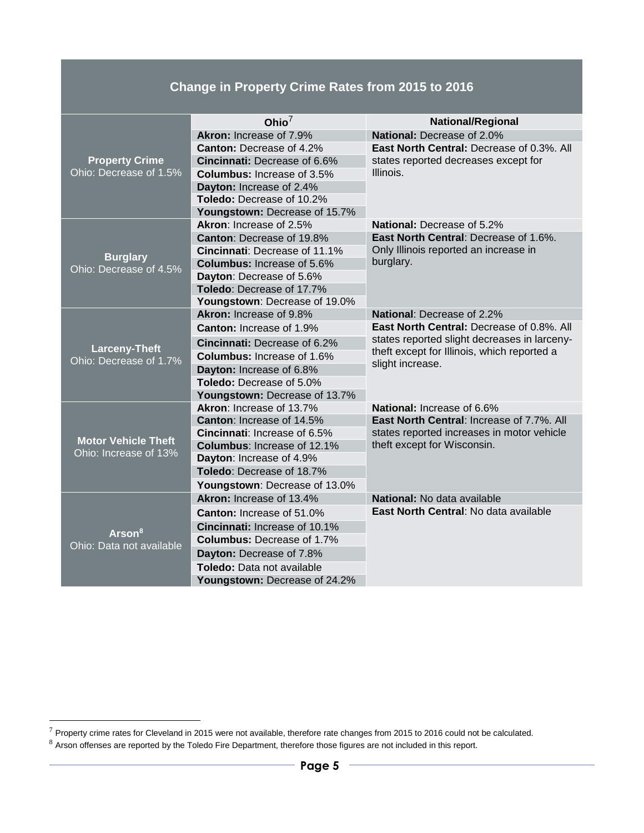# **Change in Property Crime Rates from 2015 to 2016**

|                                                | Ohio $^7$                           | <b>National/Regional</b>                                                                         |  |  |  |  |
|------------------------------------------------|-------------------------------------|--------------------------------------------------------------------------------------------------|--|--|--|--|
|                                                | Akron: Increase of 7.9%             | National: Decrease of 2.0%                                                                       |  |  |  |  |
|                                                | <b>Canton:</b> Decrease of 4.2%     | East North Central: Decrease of 0.3%. All                                                        |  |  |  |  |
| <b>Property Crime</b>                          | <b>Cincinnati: Decrease of 6.6%</b> | states reported decreases except for<br>Illinois.                                                |  |  |  |  |
| Ohio: Decrease of 1.5%                         | <b>Columbus:</b> Increase of 3.5%   |                                                                                                  |  |  |  |  |
|                                                | Dayton: Increase of 2.4%            |                                                                                                  |  |  |  |  |
|                                                | Toledo: Decrease of 10.2%           |                                                                                                  |  |  |  |  |
|                                                | Youngstown: Decrease of 15.7%       |                                                                                                  |  |  |  |  |
|                                                | Akron: Increase of 2.5%             | National: Decrease of 5.2%                                                                       |  |  |  |  |
|                                                | <b>Canton: Decrease of 19.8%</b>    | East North Central: Decrease of 1.6%.                                                            |  |  |  |  |
|                                                | Cincinnati: Decrease of 11.1%       | Only Illinois reported an increase in                                                            |  |  |  |  |
| <b>Burglary</b><br>Ohio: Decrease of 4.5%      | <b>Columbus: Increase of 5.6%</b>   | burglary.                                                                                        |  |  |  |  |
|                                                | Dayton: Decrease of 5.6%            |                                                                                                  |  |  |  |  |
|                                                | <b>Toledo: Decrease of 17.7%</b>    |                                                                                                  |  |  |  |  |
|                                                | Youngstown: Decrease of 19.0%       |                                                                                                  |  |  |  |  |
|                                                | Akron: Increase of 9.8%             | <b>National: Decrease of 2.2%</b>                                                                |  |  |  |  |
|                                                | <b>Canton: Increase of 1.9%</b>     | <b>East North Central: Decrease of 0.8%. All</b><br>states reported slight decreases in larceny- |  |  |  |  |
|                                                | <b>Cincinnati: Decrease of 6.2%</b> |                                                                                                  |  |  |  |  |
| <b>Larceny-Theft</b><br>Ohio: Decrease of 1.7% | <b>Columbus: Increase of 1.6%</b>   | theft except for Illinois, which reported a                                                      |  |  |  |  |
|                                                | Dayton: Increase of 6.8%            | slight increase.                                                                                 |  |  |  |  |
|                                                | Toledo: Decrease of 5.0%            |                                                                                                  |  |  |  |  |
|                                                | Youngstown: Decrease of 13.7%       |                                                                                                  |  |  |  |  |
|                                                | Akron: Increase of 13.7%            | National: Increase of 6.6%                                                                       |  |  |  |  |
|                                                | <b>Canton: Increase of 14.5%</b>    | East North Central: Increase of 7.7%. All                                                        |  |  |  |  |
| <b>Motor Vehicle Theft</b>                     | <b>Cincinnati:</b> Increase of 6.5% | states reported increases in motor vehicle                                                       |  |  |  |  |
| Ohio: Increase of 13%                          | <b>Columbus: Increase of 12.1%</b>  | theft except for Wisconsin.                                                                      |  |  |  |  |
|                                                | Dayton: Increase of 4.9%            |                                                                                                  |  |  |  |  |
|                                                | Toledo: Decrease of 18.7%           |                                                                                                  |  |  |  |  |
|                                                | Youngstown: Decrease of 13.0%       |                                                                                                  |  |  |  |  |
|                                                | Akron: Increase of 13.4%            | <b>National:</b> No data available                                                               |  |  |  |  |
|                                                | <b>Canton: Increase of 51.0%</b>    | East North Central: No data available                                                            |  |  |  |  |
| Arson <sup>8</sup>                             | Cincinnati: Increase of 10.1%       |                                                                                                  |  |  |  |  |
| Ohio: Data not available                       | <b>Columbus: Decrease of 1.7%</b>   |                                                                                                  |  |  |  |  |
|                                                | Dayton: Decrease of 7.8%            |                                                                                                  |  |  |  |  |
|                                                | <b>Toledo:</b> Data not available   |                                                                                                  |  |  |  |  |
|                                                | Youngstown: Decrease of 24.2%       |                                                                                                  |  |  |  |  |

-

 $^7$  Property crime rates for Cleveland in 2015 were not available, therefore rate changes from 2015 to 2016 could not be calculated.

 $8$  Arson offenses are reported by the Toledo Fire Department, therefore those figures are not included in this report.